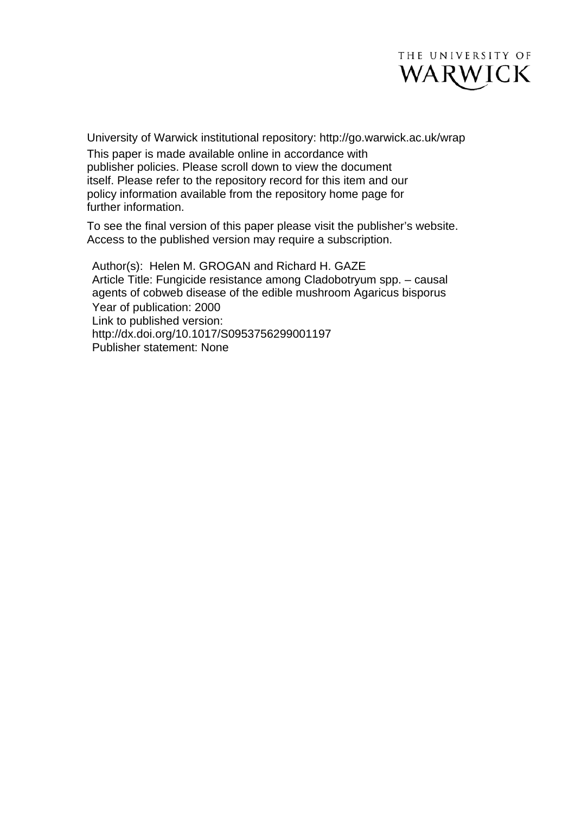

University of Warwick institutional repository: <http://go.warwick.ac.uk/wrap> This paper is made available online in accordance with publisher policies. Please scroll down to view the document itself. Please refer to the repository record for this item and our policy information available from the repository home page for further information.

To see the final version of this paper please visit the publisher's website. Access to the published version may require a subscription.

Author(s): Helen M. GROGAN and Richard H. GAZE Article Title: Fungicide resistance among Cladobotryum spp. – causal agents of cobweb disease of the edible mushroom Agaricus bisporus Year of publication: 2000 Link to published version: [http://dx.doi.org/](http://dx.doi.org/10.1017/S0950017000000283)10.1017/S0953756299001197 Publisher statement: None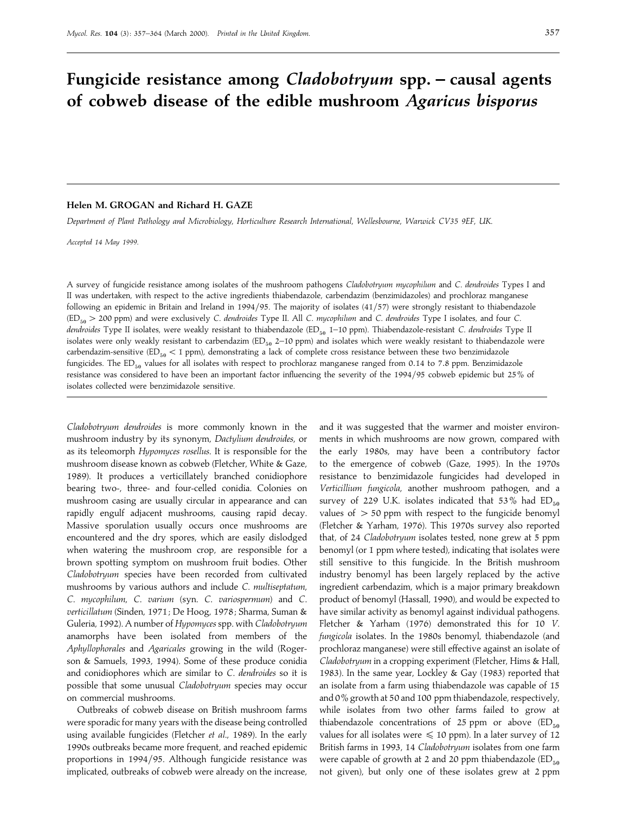#### 357

# **Fungicide resistance among** *Cladobotryum* **spp. – causal agents of cobweb disease of the edible mushroom** *Agaricus bisporus*

# **Helen M. GROGAN and Richard H. GAZE**

*Department of Plant Pathology and Microbiology*, *Horticulture Research International*, *Wellesbourne*, *Warwick CV35 9EF*, *UK*.

*Accepted 14 May 1999*.

A survey of fungicide resistance among isolates of the mushroom pathogens *Cladobotryum mycophilum* and *C*. *dendroides* Types I and II was undertaken, with respect to the active ingredients thiabendazole, carbendazim (benzimidazoles) and prochloraz manganese following an epidemic in Britain and Ireland in 1994/95. The majority of isolates (41/57) were strongly resistant to thiabendazole (ED&!"200 ppm) and were exclusively *C*. *dendroides* Type II. All *C*. *mycophilum* and *C*. *dendroides* Type I isolates, and four *C*. *dendroides* Type II isolates, were weakly resistant to thiabendazole (ED<sub>50</sub> 1–10 ppm). Thiabendazole-resistant *C. dendroides* Type II isolates were only weakly resistant to carbendazim (ED $_{50}$  2–10 ppm) and isolates which were weakly resistant to thiabendazole were carbendazim-sensitive (ED<sub>50</sub> < 1 ppm), demonstrating a lack of complete cross resistance between these two benzimidazole fungicides. The  $ED_{50}$  values for all isolates with respect to prochloraz manganese ranged from 0.14 to 7.8 ppm. Benzimidazole resistance was considered to have been an important factor influencing the severity of the 1994/95 cobweb epidemic but 25% of isolates collected were benzimidazole sensitive.

*Cladobotryum dendroides* is more commonly known in the mushroom industry by its synonym, *Dactylium dendroides*, or as its teleomorph *Hypomyces rosellus*. It is responsible for the mushroom disease known as cobweb (Fletcher, White & Gaze, 1989). It produces a verticillately branched conidiophore bearing two-, three- and four-celled conidia. Colonies on mushroom casing are usually circular in appearance and can rapidly engulf adjacent mushrooms, causing rapid decay. Massive sporulation usually occurs once mushrooms are encountered and the dry spores, which are easily dislodged when watering the mushroom crop, are responsible for a brown spotting symptom on mushroom fruit bodies. Other *Cladobotryum* species have been recorded from cultivated mushrooms by various authors and include *C*. *multiseptatum*, *C*. *mycophilum*, *C*. *varium* (syn. *C*. *variospermum*) and *C*. *verticillatum* (Sinden, 1971 ; De Hoog, 1978 ; Sharma, Suman & Guleria, 1992). A number of *Hypomyces*spp. with *Cladobotryum* anamorphs have been isolated from members of the *Aphyllophorales* and *Agaricales* growing in the wild (Rogerson & Samuels, 1993, 1994). Some of these produce conidia and conidiophores which are similar to *C*. *dendroides* so it is possible that some unusual *Cladobotryum* species may occur on commercial mushrooms.

Outbreaks of cobweb disease on British mushroom farms were sporadic for many years with the disease being controlled using available fungicides (Fletcher *et al*., 1989). In the early 1990s outbreaks became more frequent, and reached epidemic proportions in 1994/95. Although fungicide resistance was implicated, outbreaks of cobweb were already on the increase,

and it was suggested that the warmer and moister environments in which mushrooms are now grown, compared with the early 1980s, may have been a contributory factor to the emergence of cobweb (Gaze, 1995). In the 1970s resistance to benzimidazole fungicides had developed in *Verticillium fungicola*, another mushroom pathogen, and a survey of 229 U.K. isolates indicated that 53% had  $ED_{50}$ values of  $> 50$  ppm with respect to the fungicide benomyl (Fletcher & Yarham, 1976). This 1970s survey also reported that, of 24 *Cladobotryum* isolates tested, none grew at 5 ppm benomyl (or 1 ppm where tested), indicating that isolates were still sensitive to this fungicide. In the British mushroom industry benomyl has been largely replaced by the active ingredient carbendazim, which is a major primary breakdown product of benomyl (Hassall, 1990), and would be expected to have similar activity as benomyl against individual pathogens. Fletcher & Yarham (1976) demonstrated this for 10 *V*. *fungicola* isolates. In the 1980s benomyl, thiabendazole (and prochloraz manganese) were still effective against an isolate of *Cladobotryum* in a cropping experiment (Fletcher, Hims & Hall, 1983). In the same year, Lockley & Gay (1983) reported that an isolate from a farm using thiabendazole was capable of 15 and 0% growth at 50 and 100 ppm thiabendazole, respectively, while isolates from two other farms failed to grow at thiabendazole concentrations of 25 ppm or above  $(ED_{50}$ values for all isolates were  $\leq 10$  ppm). In a later survey of 12 British farms in 1993, 14 *Cladobotryum* isolates from one farm were capable of growth at 2 and 20 ppm thiabendazole  $(ED_{50}$ not given), but only one of these isolates grew at 2 ppm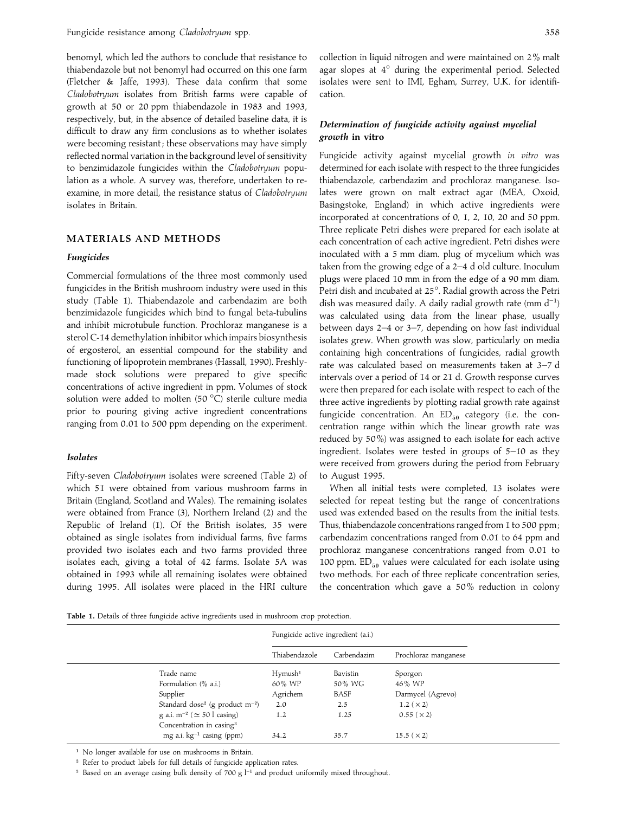benomyl, which led the authors to conclude that resistance to thiabendazole but not benomyl had occurred on this one farm (Fletcher & Jaffe, 1993). These data confirm that some *Cladobotryum* isolates from British farms were capable of growth at 50 or 20 ppm thiabendazole in 1983 and 1993, respectively, but, in the absence of detailed baseline data, it is difficult to draw any firm conclusions as to whether isolates were becoming resistant ; these observations may have simply reflected normal variation in the background level of sensitivity to benzimidazole fungicides within the *Cladobotryum* population as a whole. A survey was, therefore, undertaken to reexamine, in more detail, the resistance status of *Cladobotryum* isolates in Britain.

## **MATERIALS AND METHODS**

#### *Fungicides*

Commercial formulations of the three most commonly used fungicides in the British mushroom industry were used in this study (Table 1). Thiabendazole and carbendazim are both benzimidazole fungicides which bind to fungal beta-tubulins and inhibit microtubule function. Prochloraz manganese is a sterol C-14 demethylation inhibitor which impairs biosynthesis of ergosterol, an essential compound for the stability and functioning of lipoprotein membranes (Hassall, 1990). Freshlymade stock solutions were prepared to give specific concentrations of active ingredient in ppm. Volumes of stock solution were added to molten (50 °C) sterile culture media prior to pouring giving active ingredient concentrations ranging from 0.01 to 500 ppm depending on the experiment.

#### *Isolates*

Fifty-seven *Cladobotryum* isolates were screened (Table 2) of which 51 were obtained from various mushroom farms in Britain (England, Scotland and Wales). The remaining isolates were obtained from France (3), Northern Ireland (2) and the Republic of Ireland (1). Of the British isolates, 35 were obtained as single isolates from individual farms, five farms provided two isolates each and two farms provided three isolates each, giving a total of 42 farms. Isolate 5A was obtained in 1993 while all remaining isolates were obtained during 1995. All isolates were placed in the HRI culture

collection in liquid nitrogen and were maintained on 2% malt agar slopes at 4° during the experimental period. Selected isolates were sent to IMI, Egham, Surrey, U.K. for identification.

# *Determination of fungicide activity against mycelial growth* **in vitro**

Fungicide activity against mycelial growth *in vitro* was determined for each isolate with respect to the three fungicides thiabendazole, carbendazim and prochloraz manganese. Isolates were grown on malt extract agar (MEA, Oxoid, Basingstoke, England) in which active ingredients were incorporated at concentrations of 0, 1, 2, 10, 20 and 50 ppm. Three replicate Petri dishes were prepared for each isolate at each concentration of each active ingredient. Petri dishes were inoculated with a 5 mm diam. plug of mycelium which was taken from the growing edge of a 2–4 d old culture. Inoculum plugs were placed 10 mm in from the edge of a 90 mm diam. Petri dish and incubated at 25°. Radial growth across the Petri dish was measured daily. A daily radial growth rate (mm  $d^{-1}$ ) was calculated using data from the linear phase, usually between days 2–4 or 3–7, depending on how fast individual isolates grew. When growth was slow, particularly on media containing high concentrations of fungicides, radial growth rate was calculated based on measurements taken at 3–7 d intervals over a period of 14 or 21 d. Growth response curves were then prepared for each isolate with respect to each of the three active ingredients by plotting radial growth rate against fungicide concentration. An  $ED_{50}$  category (i.e. the concentration range within which the linear growth rate was reduced by 50%) was assigned to each isolate for each active ingredient. Isolates were tested in groups of 5–10 as they were received from growers during the period from February to August 1995.

When all initial tests were completed, 13 isolates were selected for repeat testing but the range of concentrations used was extended based on the results from the initial tests. Thus, thiabendazole concentrations ranged from 1 to 500 ppm ; carbendazim concentrations ranged from 0.01 to 64 ppm and prochloraz manganese concentrations ranged from 0.01 to 100 ppm.  $ED_{50}$  values were calculated for each isolate using two methods. For each of three replicate concentration series, the concentration which gave a 50% reduction in colony

|  |  |  |  |  |  |  | Table 1. Details of three fungicide active ingredients used in mushroom crop protection. |  |  |  |  |  |
|--|--|--|--|--|--|--|------------------------------------------------------------------------------------------|--|--|--|--|--|
|--|--|--|--|--|--|--|------------------------------------------------------------------------------------------|--|--|--|--|--|

|                                                  | Fungicide active ingredient (a.i.) |             |                      |  |
|--------------------------------------------------|------------------------------------|-------------|----------------------|--|
|                                                  | Thiabendazole                      | Carbendazim | Prochloraz manganese |  |
| Trade name                                       | Hymush <sup>1</sup>                | Bavistin    | Sporgon              |  |
| Formulation (% a.i.)                             | 60% WP                             | 50% WG      | 46% WP               |  |
| Supplier                                         | Agrichem                           | BASF        | Darmycel (Agrevo)    |  |
| Standard dose <sup>2</sup> (g product $m^{-2}$ ) | 2.0                                | 2.5         | 1.2 ( $\times$ 2)    |  |
| g a.i. m <sup>-2</sup> ( $\simeq$ 50 l casing)   | 1.2                                | 1.25        | 0.55 (x 2)           |  |
| Concentration in casing <sup>3</sup>             |                                    |             |                      |  |
| mg a.i. $kg^{-1}$ casing (ppm)                   | 34.2                               | 35.7        | 15.5 ( $\times$ 2)   |  |

" No longer available for use on mushrooms in Britain.

<sup>2</sup> Refer to product labels for full details of fungicide application rates.

<sub>1</sub> Based on an average casing bulk density of 700 g l<sup>−1</sup> and product uniformily mixed throughout.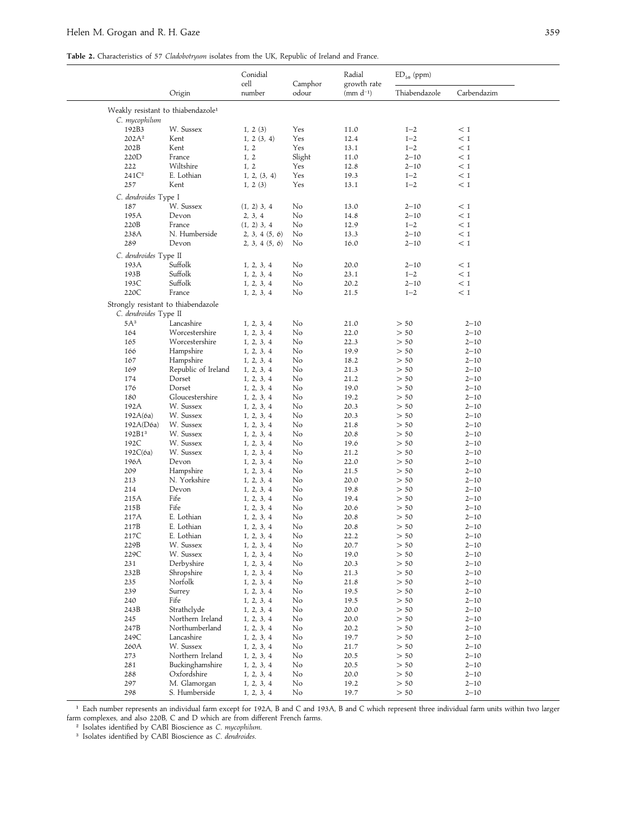**Table 2.** Characteristics of 57 *Cladobotryum* isolates from the UK, Republic of Ireland and France.

|                                                              |                     | Conidial<br>cell<br>Camphor |        | Radial<br>growth rate | $ED_{50}$ (ppm) |             |  |
|--------------------------------------------------------------|---------------------|-----------------------------|--------|-----------------------|-----------------|-------------|--|
|                                                              | Origin              | number                      | odour  | (mm $d^{-1}$ )        | Thiabendazole   | Carbendazim |  |
| Weakly resistant to thiabendazole <sup>1</sup>               |                     |                             |        |                       |                 |             |  |
| C. mycophilum                                                |                     |                             |        |                       |                 |             |  |
| 192B3                                                        | W. Sussex           | 1, 2(3)                     | Yes    | 11.0                  | $1 - 2$         | < 1         |  |
| 202A <sup>2</sup>                                            | Kent                | 1, 2 (3, 4)                 | Yes    | 12.4                  | $1 - 2$         | < 1         |  |
| 202B                                                         | Kent                | 1, 2                        | Yes    | 13.1                  | $1 - 2$         | < 1         |  |
| 220D                                                         | France              | 1, 2                        | Slight | 11.0                  | $2 - 10$        | < 1         |  |
| 222                                                          | Wiltshire           | 1, 2                        | Yes    | 12.8                  | $2 - 10$        | < 1         |  |
| 241C <sup>2</sup>                                            | E. Lothian          | 1, 2, (3, 4)                | Yes    | 19.3                  | $1 - 2$         | < 1         |  |
| 257                                                          | Kent                | 1, 2(3)                     | Yes    | 13.1                  | $1 - 2$         | < 1         |  |
| C. dendroides Type I                                         |                     |                             |        |                       |                 |             |  |
| 187                                                          | W. Sussex           | $(1, 2)$ 3, 4               | No     | 13.0                  | $2 - 10$        | $\,<\,1$    |  |
| 195A                                                         | Devon               | 2, 3, 4                     | No     | 14.8                  | $2 - 10$        | $\,<1$      |  |
| 220B                                                         | France              | $(1, 2)$ 3, 4               | No     | 12.9                  | $1 - 2$         | < 1         |  |
| 238A                                                         | N. Humberside       | 2, 3, 4 (5, 6)              | No     | 13.3                  | $2 - 10$        | $\,<1$      |  |
| 289                                                          | Devon               | 2, 3, 4 (5, 6)              | No     | 16.0                  | $2 - 10$        | < 1         |  |
| C. dendroides Type II                                        |                     |                             |        |                       |                 |             |  |
| 193A                                                         | Suffolk             | 1, 2, 3, 4                  | No     | 20.0                  | $2 - 10$        | < 1         |  |
| 193B                                                         | Suffolk             | 1, 2, 3, 4                  | No     | 23.1                  | $1 - 2$         | < 1         |  |
| 193C                                                         | Suffolk             | 1, 2, 3, 4                  | No     | 20.2                  | $2 - 10$        | < 1         |  |
| 220C                                                         | France              | 1, 2, 3, 4                  | No     | 21.5                  | $1 - 2$         | < 1         |  |
| Strongly resistant to thiabendazole<br>C. dendroides Type II |                     |                             |        |                       |                 |             |  |
| 5A <sup>3</sup>                                              | Lancashire          |                             | No     |                       | > 50            |             |  |
|                                                              |                     | 1, 2, 3, 4                  |        | 21.0                  |                 | $2 - 10$    |  |
| 164                                                          | Worcestershire      | 1, 2, 3, 4                  | No     | 22.0                  | > 50            | $2 - 10$    |  |
| 165                                                          | Worcestershire      | 1, 2, 3, 4                  | No     | 22.3                  | > 50            | $2 - 10$    |  |
| 166                                                          | Hampshire           | 1, 2, 3, 4                  | No     | 19.9                  | > 50            | $2 - 10$    |  |
| 167                                                          | Hampshire           | 1, 2, 3, 4                  | No     | 18.2                  | > 50            | $2 - 10$    |  |
| 169                                                          | Republic of Ireland | 1, 2, 3, 4                  | No     | 21.3                  | > 50            | $2 - 10$    |  |
| 174                                                          | Dorset              | 1, 2, 3, 4                  | No     | 21.2                  | > 50            | $2 - 10$    |  |
| 176                                                          | Dorset              | 1, 2, 3, 4                  | No     | 19.0                  | > 50            | $2 - 10$    |  |
| 180                                                          | Gloucestershire     | 1, 2, 3, 4                  | No     | 19.2                  | > 50            | $2 - 10$    |  |
| 192A                                                         | W. Sussex           | 1, 2, 3, 4                  | No     | 20.3                  | > 50            | $2 - 10$    |  |
| 192A(6a)                                                     | W. Sussex           | 1, 2, 3, 4                  | No     | 20.3                  | > 50            | $2 - 10$    |  |
| 192A(D6a)                                                    | W. Sussex           | 1, 2, 3, 4                  | No     | 21.8                  | > 50            | $2 - 10$    |  |
| 192B1 <sup>3</sup>                                           | W. Sussex           | 1, 2, 3, 4                  | No     | 20.8                  | > 50            | $2 - 10$    |  |
| 192C                                                         | W. Sussex           | 1, 2, 3, 4                  | No     | 19.6                  | > 50            | $2 - 10$    |  |
| 192C(6a)                                                     | W. Sussex           | 1, 2, 3, 4                  | No     | 21.2                  | > 50            | $2 - 10$    |  |
| 196A                                                         | Devon               | 1, 2, 3, 4                  | No     | 22.0                  | > 50            | $2 - 10$    |  |
| 209                                                          | Hampshire           | 1, 2, 3, 4                  | No     | 21.5                  | > 50            | $2 - 10$    |  |
| 213                                                          | N. Yorkshire        | 1, 2, 3, 4                  | No     | 20.0                  | > 50            | $2 - 10$    |  |
| 214                                                          | Devon               | 1, 2, 3, 4                  | No     | 19.8                  | > 50            | $2 - 10$    |  |
| 215A                                                         | Fife                | 1, 2, 3, 4                  | No     | 19.4                  | > 50            | $2 - 10$    |  |
| 215B                                                         | Fife                | 1, 2, 3, 4                  | No     | 20.6                  | > 50            | $2 - 10$    |  |
| 217A                                                         | E. Lothian          | 1, 2, 3, 4                  | No     | 20.8                  | > 50            | $2 - 10$    |  |
| 217B                                                         | E. Lothian          | 1, 2, 3, 4                  | No     | 20.8                  | > 50            | $2 - 10$    |  |
| 217C                                                         | E. Lothian          | 1, 2, 3, 4                  | No     | 22.2                  | > 50            | $2 - 10$    |  |
| 229B                                                         | W. Sussex           | 1, 2, 3, 4                  | No     | 20.7                  | > 50            | $2 - 10$    |  |
| 229C                                                         | W. Sussex           | 1, 2, 3, 4                  | No     | 19.0                  | > 50            | $2 - 10$    |  |
| 231                                                          | Derbyshire          | 1, 2, 3, 4                  | No     | 20.3                  | > 50            | $2 - 10$    |  |
| 232B                                                         | Shropshire          | 1, 2, 3, 4                  | No     | 21.3                  | > 50            | $2 - 10$    |  |
| 235                                                          | Norfolk             | 1, 2, 3, 4                  | No     | 21.8                  | > 50            | $2 - 10$    |  |
| 239                                                          | Surrey              | 1, 2, 3, 4                  | No     | 19.5                  | > 50            | $2 - 10$    |  |
| 240                                                          | Fife                | 1, 2, 3, 4                  | No     | 19.5                  | > 50            | $2 - 10$    |  |
| 243B                                                         | Strathclyde         | 1, 2, 3, 4                  | No     | 20.0                  | > 50            | $2 - 10$    |  |
| 245                                                          | Northern Ireland    | 1, 2, 3, 4                  | No     | 20.0                  | > 50            | $2 - 10$    |  |
| 247B                                                         | Northumberland      | 1, 2, 3, 4                  | No     | 20.2                  | > 50            | $2 - 10$    |  |
| 249C                                                         | Lancashire          | 1, 2, 3, 4                  | No     | 19.7                  | > 50            | $2 - 10$    |  |
| 260A                                                         | W. Sussex           | 1, 2, 3, 4                  | No     | 21.7                  | > 50            | $2 - 10$    |  |
| 273                                                          | Northern Ireland    | 1, 2, 3, 4                  | No     | 20.5                  | > 50            | $2 - 10$    |  |
| 281                                                          | Buckinghamshire     | 1, 2, 3, 4                  | No     | 20.5                  | > 50            | $2 - 10$    |  |
| 288                                                          | Oxfordshire         | 1, 2, 3, 4                  | No     | 20.0                  | > 50            | $2 - 10$    |  |
| 297                                                          | M. Glamorgan        | 1, 2, 3, 4                  | No     | 19.2                  | > 50            | $2 - 10$    |  |
| 298                                                          | S. Humberside       | 1, 2, 3, 4                  | No     | 19.7                  | > 50            | $2 - 10$    |  |

<sup>&</sup>quot; Each number represents an individual farm except for 192A, B and C and 193A, B and C which represent three individual farm units within two larger farm complexes, and also 220B, C and D which are from different French farms.

# Isolates identified by CABI Bioscience as *C*. *mycophilum*. \$ Isolates identified by CABI Bioscience as *C*. *dendroides*.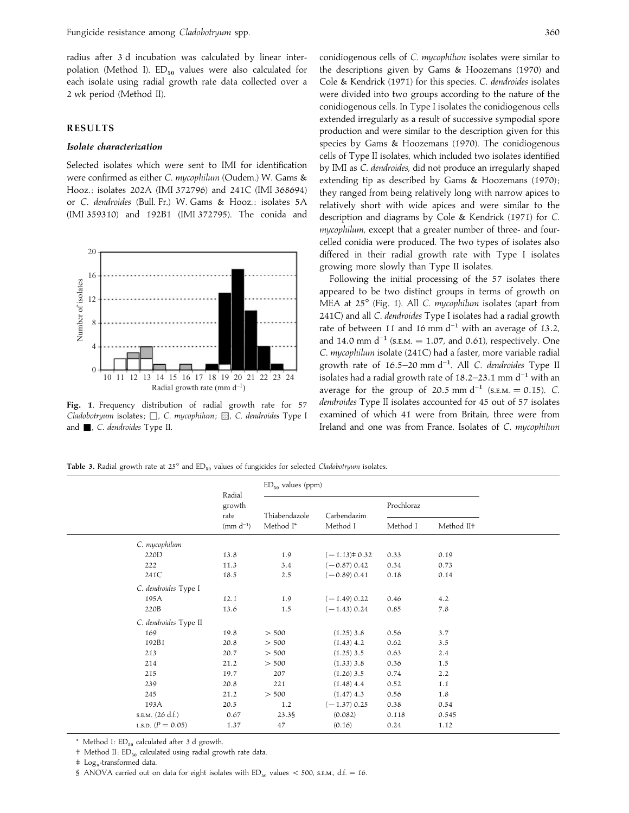radius after 3 d incubation was calculated by linear interpolation (Method I).  $ED_{50}$  values were also calculated for each isolate using radial growth rate data collected over a 2 wk period (Method II).

#### **RESULTS**

## *Isolate characterization*

Selected isolates which were sent to IMI for identification were confirmed as either *C*. *mycophilum* (Oudem.) W. Gams & Hooz. : isolates 202A (IMI 372796) and 241C (IMI 368694) or *C*. *dendroides* (Bull. Fr.) W. Gams & Hooz. : isolates 5A (IMI 359310) and 192B1 (IMI 372795). The conida and



**Fig. 1**. Frequency distribution of radial growth rate for 57 *Cladobotryum* isolates;  $\Box$ , *C. mycophilum*; **...** *C. dendroides* Type I and +, *C*. *dendroides* Type II.

conidiogenous cells of *C*. *mycophilum* isolates were similar to the descriptions given by Gams & Hoozemans (1970) and Cole & Kendrick (1971) for this species. *C*. *dendroides* isolates were divided into two groups according to the nature of the conidiogenous cells. In Type I isolates the conidiogenous cells extended irregularly as a result of successive sympodial spore production and were similar to the description given for this species by Gams & Hoozemans (1970). The conidiogenous cells of Type II isolates, which included two isolates identified by IMI as *C*. *dendroides*, did not produce an irregularly shaped extending tip as described by Gams & Hoozemans (1970); they ranged from being relatively long with narrow apices to relatively short with wide apices and were similar to the description and diagrams by Cole & Kendrick (1971) for *C*. *mycophilum*, except that a greater number of three- and fourcelled conidia were produced. The two types of isolates also differed in their radial growth rate with Type I isolates growing more slowly than Type II isolates.

Following the initial processing of the 57 isolates there appeared to be two distinct groups in terms of growth on MEA at 25° (Fig. 1). All *C*. *mycophilum* isolates (apart from 241C) and all *C*. *dendroides* Type I isolates had a radial growth rate of between 11 and 16 mm d<sup>-1</sup> with an average of 13.2, and 14.0 mm d<sup>-1</sup> (s.e.m. = 1.07, and 0.61), respectively. One *C*. *mycophilum* isolate (241C) had a faster, more variable radial growth rate of 16±5–20 mm d−". All *<sup>C</sup>*. *dendroides* Type II isolates had a radial growth rate of 18.2–23.1 mm d<sup>-1</sup> with an average for the group of 20.5 mm d<sup>-1</sup> (s.e.m. = 0.15). *C*. *dendroides* Type II isolates accounted for 45 out of 57 isolates examined of which 41 were from Britain, three were from Ireland and one was from France. Isolates of *C*. *mycophilum*

Table 3. Radial growth rate at 25° and ED<sub>50</sub> values of fungicides for selected *Cladobotryum* isolates.

|                       | Radial         | $ED_{50}$ values (ppm) |                  |                        |         |  |
|-----------------------|----------------|------------------------|------------------|------------------------|---------|--|
|                       | growth<br>rate | Thiabendazole          | Carbendazim      | Prochloraz             |         |  |
|                       | Method I*      | Method I               | Method I         | Method II <sup>+</sup> |         |  |
| C. mycophilum         |                |                        |                  |                        |         |  |
| 220D                  | 13.8           | 1.9                    | $(-1.13)$ ≠ 0.32 | 0.33                   | 0.19    |  |
| 222                   | 11.3           | 3.4                    | $(-0.87) 0.42$   | 0.34                   | 0.73    |  |
| 241C                  | 18.5           | 2.5                    | $(-0.89) 0.41$   | 0.18                   | 0.14    |  |
| C. dendroides Type I  |                |                        |                  |                        |         |  |
| 195A                  | 12.1           | 1.9                    | $(-1.49)$ 0.22   | 0.46                   | 4.2     |  |
| 220B                  | 13.6           | 1.5                    | $(-1.43)$ 0.24   | 0.85                   | 7.8     |  |
| C. dendroides Type II |                |                        |                  |                        |         |  |
| 169                   | 19.8           | > 500                  | $(1.25)$ 3.8     | 0.56                   | 3.7     |  |
| 192B1                 | 20.8           | > 500                  | $(1.43)$ 4.2     | 0.62                   | 3.5     |  |
| 213                   | 20.7           | > 500                  | $(1.25)$ 3.5     | 0.63                   | 2.4     |  |
| 214                   | 21.2           | > 500                  | $(1.33)$ 3.8     | 0.36                   | 1.5     |  |
| 215                   | 19.7           | 207                    | $(1.26)$ 3.5     | 0.74                   | 2.2     |  |
| 239                   | 20.8           | 221                    | $(1.48)$ 4.4     | 0.52                   | $1.1\,$ |  |
| 245                   | 21.2           | > 500                  | $(1.47)$ 4.3     | 0.56                   | 1.8     |  |
| 193A                  | 20.5           | 1.2                    | $(-1.37)$ 0.25   | 0.38                   | 0.54    |  |
| s.e.m. (26 d.f.)      | 0.67           | 23.38                  | (0.082)          | 0.118                  | 0.545   |  |
| L.S.D. $(P = 0.05)$   | 1.37           | 47                     | (0.16)           | 0.24                   | 1.12    |  |
|                       |                |                        |                  |                        |         |  |

\* Method I:  $ED_{50}$  calculated after 3 d growth.

‡ Log*<sup>n</sup>* -transformed data.

§ ANOVA carried out on data for eight isolates with  $ED_{50}$  values  $<$  500, s.e.m., d.f. = 16.

 $\dagger$  Method II:  $ED_{50}$  calculated using radial growth rate data.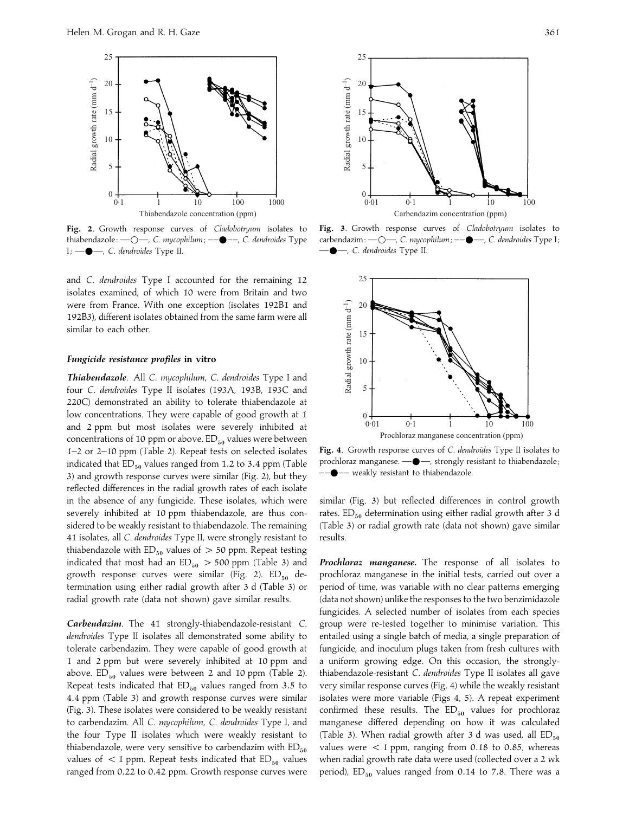

**Fig. 2**. Growth response curves of *Cladobotryum* isolates to thiabendazole : —D—, *C*. *mycophilum*; ––E– –, *C*. *dendroides* Type I; —E—, *C*. *dendroides* Type II.

and *C*. *dendroides* Type I accounted for the remaining 12 isolates examined, of which 10 were from Britain and two were from France. With one exception (isolates 192B1 and 192B3), different isolates obtained from the same farm were all similar to each other.

## *Fungicide resistance profiles* **in vitro**

*Thiabendazole*. All *C*. *mycophilum*, *C*. *dendroides* Type I and four *C*. *dendroides* Type II isolates (193A, 193B, 193C and 220C) demonstrated an ability to tolerate thiabendazole at low concentrations. They were capable of good growth at 1 and 2 ppm but most isolates were severely inhibited at concentrations of 10 ppm or above.  $ED_{50}$  values were between 1–2 or 2–10 ppm (Table 2). Repeat tests on selected isolates indicated that  $ED_{50}$  values ranged from 1.2 to 3.4 ppm (Table 3) and growth response curves were similar (Fig. 2), but they reflected differences in the radial growth rates of each isolate in the absence of any fungicide. These isolates, which were severely inhibited at 10 ppm thiabendazole, are thus considered to be weakly resistant to thiabendazole. The remaining 41 isolates, all *C*. *dendroides* Type II, were strongly resistant to thiabendazole with  $ED_{50}$  values of  $> 50$  ppm. Repeat testing indicated that most had an  $ED_{50} > 500$  ppm (Table 3) and growth response curves were similar (Fig. 2).  $ED_{50}$  determination using either radial growth after 3 d (Table 3) or radial growth rate (data not shown) gave similar results.

*Carbendazim*. The 41 strongly-thiabendazole-resistant *C*. *dendroides* Type II isolates all demonstrated some ability to tolerate carbendazim. They were capable of good growth at 1 and 2 ppm but were severely inhibited at 10 ppm and above.  $ED_{50}$  values were between 2 and 10 ppm (Table 2). Repeat tests indicated that  $ED_{50}$  values ranged from 3.5 to 4.4 ppm (Table 3) and growth response curves were similar (Fig. 3). These isolates were considered to be weakly resistant to carbendazim. All *C*. *mycophilum*, *C*. *dendroides* Type I, and the four Type II isolates which were weakly resistant to thiabendazole, were very sensitive to carbendazim with  $ED_{50}$ values of  $<$  1 ppm. Repeat tests indicated that  $ED_{50}$  values ranged from 0.22 to 0.42 ppm. Growth response curves were



**Fig. 3**. Growth response curves of *Cladobotryum* isolates to carbendazim :  $\text{---}$ , *C. mycophilum* ;  $\text{---}$ , *C. dendroides* Type I; —E—, *C*. *dendroides* Type II.



**Fig. 4**. Growth response curves of *C*. *dendroides* Type II isolates to prochloraz manganese.  $\longrightarrow$ , strongly resistant to thiabendazole;  $-$  weakly resistant to thiabendazole.

similar (Fig. 3) but reflected differences in control growth rates.  $ED_{50}$  determination using either radial growth after 3 d (Table 3) or radial growth rate (data not shown) gave similar results.

*Prochloraz manganese.* The response of all isolates to prochloraz manganese in the initial tests, carried out over a period of time, was variable with no clear patterns emerging (data not shown) unlike the responses to the two benzimidazole fungicides. A selected number of isolates from each species group were re-tested together to minimise variation. This entailed using a single batch of media, a single preparation of fungicide, and inoculum plugs taken from fresh cultures with a uniform growing edge. On this occasion, the stronglythiabendazole-resistant *C*. *dendroides* Type II isolates all gave very similar response curves (Fig. 4) while the weakly resistant isolates were more variable (Figs 4, 5). A repeat experiment confirmed these results. The  $ED_{50}$  values for prochloraz manganese differed depending on how it was calculated (Table 3). When radial growth after 3 d was used, all  $ED_{50}$ values were  $<$  1 ppm, ranging from 0.18 to 0.85, whereas when radial growth rate data were used (collected over a 2 wk period),  $ED_{50}$  values ranged from 0.14 to 7.8. There was a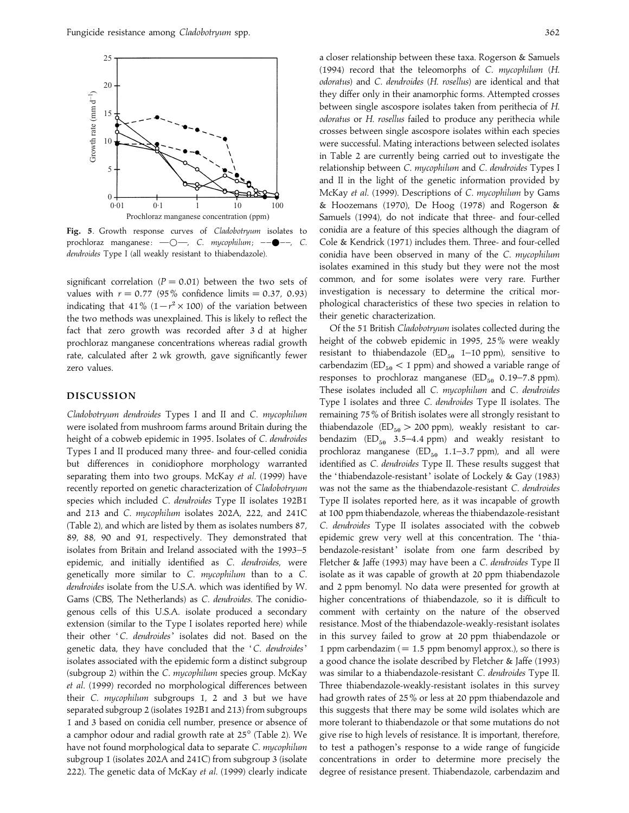

**Fig. 5**. Growth response curves of *Cladobotryum* isolates to prochloraz manganese:  $\text{---}$ , *C. mycophilum*;  $\text{---}$ , *C. dendroides* Type I (all weakly resistant to thiabendazole).

significant correlation ( $P = 0.01$ ) between the two sets of values with  $r = 0.77$  (95% confidence limits  $= 0.37, 0.93$ ) indicating that 41%  $(1-r^2 \times 100)$  of the variation between the two methods was unexplained. This is likely to reflect the fact that zero growth was recorded after 3 d at higher prochloraz manganese concentrations whereas radial growth rate, calculated after 2 wk growth, gave significantly fewer zero values.

## **DISCUSSION**

*Cladobotryum dendroides* Types I and II and *C*. *mycophilum* were isolated from mushroom farms around Britain during the height of a cobweb epidemic in 1995. Isolates of *C*. *dendroides* Types I and II produced many three- and four-celled conidia but differences in conidiophore morphology warranted separating them into two groups. McKay *et al*. (1999) have recently reported on genetic characterization of *Cladobotryum* species which included *C*. *dendroides* Type II isolates 192B1 and 213 and *C*. *mycophilum* isolates 202A, 222, and 241C (Table 2), and which are listed by them as isolates numbers 87, 89, 88, 90 and 91, respectively. They demonstrated that isolates from Britain and Ireland associated with the 1993–5 epidemic, and initially identified as *C*. *dendroides*, were genetically more similar to *C*. *mycophilum* than to a *C*. *dendroides* isolate from the U.S.A. which was identified by W. Gams (CBS, The Netherlands) as *C*. *dendroides*. The conidiogenous cells of this U.S.A. isolate produced a secondary extension (similar to the Type I isolates reported here) while their other '*C*. *dendroides*' isolates did not. Based on the genetic data, they have concluded that the '*C*. *dendroides*' isolates associated with the epidemic form a distinct subgroup (subgroup 2) within the *C*. *mycophilum* species group. McKay *et al*. (1999) recorded no morphological differences between their *C*. *mycophilum* subgroups 1, 2 and 3 but we have separated subgroup 2 (isolates 192B1 and 213) from subgroups 1 and 3 based on conidia cell number, presence or absence of a camphor odour and radial growth rate at 25° (Table 2). We have not found morphological data to separate *C*. *mycophilum* subgroup 1 (isolates 202A and 241C) from subgroup 3 (isolate 222). The genetic data of McKay *et al*. (1999) clearly indicate

a closer relationship between these taxa. Rogerson & Samuels (1994) record that the teleomorphs of *C*. *mycophilum* (*H*. *odoratus*) and *C*. *dendroides* (*H*. *rosellus*) are identical and that they differ only in their anamorphic forms. Attempted crosses between single ascospore isolates taken from perithecia of *H*. *odoratus* or *H*. *rosellus* failed to produce any perithecia while crosses between single ascospore isolates within each species were successful. Mating interactions between selected isolates in Table 2 are currently being carried out to investigate the relationship between *C*. *mycophilum* and *C*. *dendroides* Types I and II in the light of the genetic information provided by McKay *et al*. (1999). Descriptions of *C*. *mycophilum* by Gams & Hoozemans (1970), De Hoog (1978) and Rogerson & Samuels (1994), do not indicate that three- and four-celled conidia are a feature of this species although the diagram of Cole & Kendrick (1971) includes them. Three- and four-celled conidia have been observed in many of the *C*. *mycophilum* isolates examined in this study but they were not the most common, and for some isolates were very rare. Further investigation is necessary to determine the critical morphological characteristics of these two species in relation to their genetic characterization.

Of the 51 British *Cladobotryum* isolates collected during the height of the cobweb epidemic in 1995, 25% were weakly resistant to thiabendazole  $(ED_{50}$  1–10 ppm), sensitive to carbendazim ( $ED_{50}$  < 1 ppm) and showed a variable range of responses to prochloraz manganese  $(ED_{50}$  0.19–7.8 ppm). These isolates included all *C*. *mycophilum* and *C*. *dendroides* Type I isolates and three *C*. *dendroides* Type II isolates. The remaining 75% of British isolates were all strongly resistant to thiabendazole (ED $_{50}$  > 200 ppm), weakly resistant to carbendazim  $(ED_{50}$  3.5–4.4 ppm) and weakly resistant to prochloraz manganese  $(ED_{50}$  1.1–3.7 ppm), and all were identified as *C*. *dendroides* Type II. These results suggest that the 'thiabendazole-resistant' isolate of Lockely & Gay (1983) was not the same as the thiabendazole-resistant *C*. *dendroides* Type II isolates reported here, as it was incapable of growth at 100 ppm thiabendazole, whereas the thiabendazole-resistant *C*. *dendroides* Type II isolates associated with the cobweb epidemic grew very well at this concentration. The 'thiabendazole-resistant' isolate from one farm described by Fletcher & Jaffe (1993) may have been a *C*. *dendroides* Type II isolate as it was capable of growth at 20 ppm thiabendazole and 2 ppm benomyl. No data were presented for growth at higher concentrations of thiabendazole, so it is difficult to comment with certainty on the nature of the observed resistance. Most of the thiabendazole-weakly-resistant isolates in this survey failed to grow at 20 ppm thiabendazole or 1 ppm carbendazim ( $=1.5$  ppm benomyl approx.), so there is a good chance the isolate described by Fletcher & Jaffe (1993) was similar to a thiabendazole-resistant *C*. *dendroides* Type II. Three thiabendazole-weakly-resistant isolates in this survey had growth rates of 25% or less at 20 ppm thiabendazole and this suggests that there may be some wild isolates which are more tolerant to thiabendazole or that some mutations do not give rise to high levels of resistance. It is important, therefore, to test a pathogen's response to a wide range of fungicide concentrations in order to determine more precisely the degree of resistance present. Thiabendazole, carbendazim and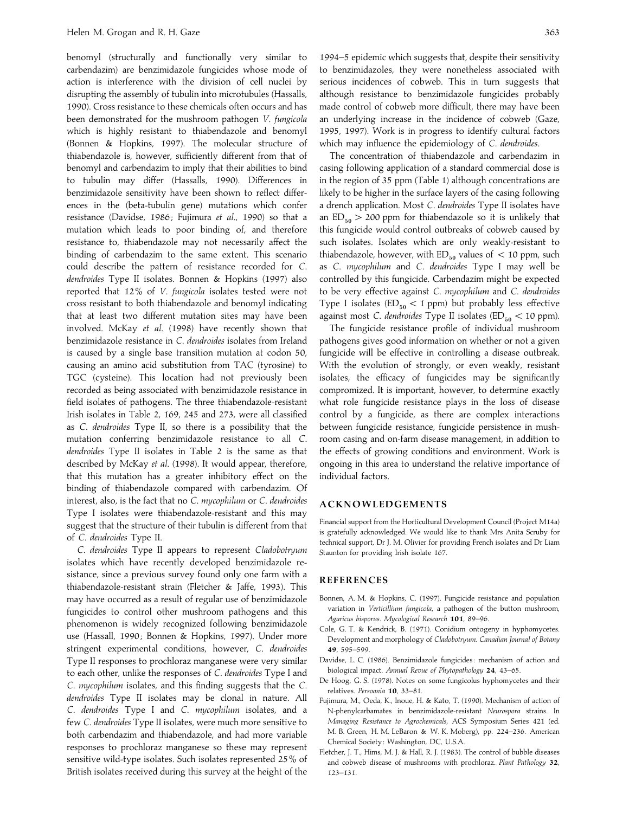benomyl (structurally and functionally very similar to carbendazim) are benzimidazole fungicides whose mode of action is interference with the division of cell nuclei by disrupting the assembly of tubulin into microtubules (Hassalls, 1990). Cross resistance to these chemicals often occurs and has been demonstrated for the mushroom pathogen *V*. *fungicola* which is highly resistant to thiabendazole and benomyl (Bonnen & Hopkins, 1997). The molecular structure of thiabendazole is, however, sufficiently different from that of benomyl and carbendazim to imply that their abilities to bind to tubulin may differ (Hassalls, 1990). Differences in benzimidazole sensitivity have been shown to reflect differences in the (beta-tubulin gene) mutations which confer resistance (Davidse, 1986 ; Fujimura *et al*., 1990) so that a mutation which leads to poor binding of, and therefore resistance to, thiabendazole may not necessarily affect the binding of carbendazim to the same extent. This scenario could describe the pattern of resistance recorded for *C*. *dendroides* Type II isolates. Bonnen & Hopkins (1997) also reported that 12% of *V*. *fungicola* isolates tested were not cross resistant to both thiabendazole and benomyl indicating that at least two different mutation sites may have been involved. McKay *et al*. (1998) have recently shown that benzimidazole resistance in *C*. *dendroides* isolates from Ireland is caused by a single base transition mutation at codon 50, causing an amino acid substitution from TAC (tyrosine) to TGC (cysteine). This location had not previously been recorded as being associated with benzimidazole resistance in field isolates of pathogens. The three thiabendazole-resistant Irish isolates in Table 2, 169, 245 and 273, were all classified as *C*. *dendroides* Type II, so there is a possibility that the mutation conferring benzimidazole resistance to all *C*. *dendroides* Type II isolates in Table 2 is the same as that described by McKay *et al*. (1998). It would appear, therefore, that this mutation has a greater inhibitory effect on the binding of thiabendazole compared with carbendazim. Of interest, also, is the fact that no *C*. *mycophilum* or *C*. *dendroides* Type I isolates were thiabendazole-resistant and this may suggest that the structure of their tubulin is different from that of *C*. *dendroides* Type II.

*C*. *dendroides* Type II appears to represent *Cladobotryum* isolates which have recently developed benzimidazole resistance, since a previous survey found only one farm with a thiabendazole-resistant strain (Fletcher & Jaffe, 1993). This may have occurred as a result of regular use of benzimidazole fungicides to control other mushroom pathogens and this phenomenon is widely recognized following benzimidazole use (Hassall, 1990; Bonnen & Hopkins, 1997). Under more stringent experimental conditions, however, *C*. *dendroides* Type II responses to prochloraz manganese were very similar to each other, unlike the responses of *C*. *dendroides* Type I and *C*. *mycophilum* isolates, and this finding suggests that the *C*. *dendroides* Type II isolates may be clonal in nature. All *C*. *dendroides* Type I and *C*. *mycophilum* isolates, and a few *C*. *dendroides* Type II isolates, were much more sensitive to both carbendazim and thiabendazole, and had more variable responses to prochloraz manganese so these may represent sensitive wild-type isolates. Such isolates represented 25% of British isolates received during this survey at the height of the

1994–5 epidemic which suggests that, despite their sensitivity to benzimidazoles, they were nonetheless associated with serious incidences of cobweb. This in turn suggests that although resistance to benzimidazole fungicides probably made control of cobweb more difficult, there may have been an underlying increase in the incidence of cobweb (Gaze, 1995, 1997). Work is in progress to identify cultural factors which may influence the epidemiology of *C*. *dendroides*.

The concentration of thiabendazole and carbendazim in casing following application of a standard commercial dose is in the region of 35 ppm (Table 1) although concentrations are likely to be higher in the surface layers of the casing following a drench application. Most *C*. *dendroides* Type II isolates have an  $ED_{50} > 200$  ppm for thiabendazole so it is unlikely that this fungicide would control outbreaks of cobweb caused by such isolates. Isolates which are only weakly-resistant to thiabendazole, however, with  $ED_{50}$  values of  $\lt 10$  ppm, such as *C*. *mycophilum* and *C*. *dendroides* Type I may well be controlled by this fungicide. Carbendazim might be expected to be very effective against *C*. *mycophilum* and *C*. *dendroides* Type I isolates ( $ED_{50}$  < 1 ppm) but probably less effective against most *C. dendroides* Type II isolates ( $ED_{50}$  < 10 ppm).

The fungicide resistance profile of individual mushroom pathogens gives good information on whether or not a given fungicide will be effective in controlling a disease outbreak. With the evolution of strongly, or even weakly, resistant isolates, the efficacy of fungicides may be significantly compromized. It is important, however, to determine exactly what role fungicide resistance plays in the loss of disease control by a fungicide, as there are complex interactions between fungicide resistance, fungicide persistence in mushroom casing and on-farm disease management, in addition to the effects of growing conditions and environment. Work is ongoing in this area to understand the relative importance of individual factors.

## **ACKNOWLEDGEMENTS**

Financial support from the Horticultural Development Council (Project M14a) is gratefully acknowledged. We would like to thank Mrs Anita Scruby for technical support, Dr J. M. Olivier for providing French isolates and Dr Liam Staunton for providing Irish isolate 167.

#### **REFERENCES**

- Bonnen, A. M. & Hopkins, C. (1997). Fungicide resistance and population variation in *Verticillium fungicola*, a pathogen of the button mushroom, *Agaricus bisporus*. *Mycological Research* **101**, 89–96.
- Cole, G. T. & Kendrick, B. (1971). Conidium ontogeny in hyphomycetes. Development and morphology of *Cladobotryum*. *Canadian Journal of Botany* **49**, 595–599.
- Davidse, L. C. (1986). Benzimidazole fungicides : mechanism of action and biological impact. *Annual Revue of Phytopathology* **24**, 43–65.
- De Hoog, G. S. (1978). Notes on some fungicolus hyphomycetes and their relatives. *Persoonia* **10**, 33–81.
- Fujimura, M., Oeda, K., Inoue, H. & Kato, T. (1990). Mechanism of action of N-phenylcarbamates in benzimidazole-resistant *Neurospora* strains. In *Managing Resistance to Agrochemicals*, ACS Symposium Series 421 (ed. M. B. Green, H. M. LeBaron & W. K. Moberg), pp. 224–236. American Chemical Society : Washington, DC, U.S.A.
- Fletcher, J. T., Hims, M. J. & Hall, R. J. (1983). The control of bubble diseases and cobweb disease of mushrooms with prochloraz. *Plant Pathology* **32**, 123–131.